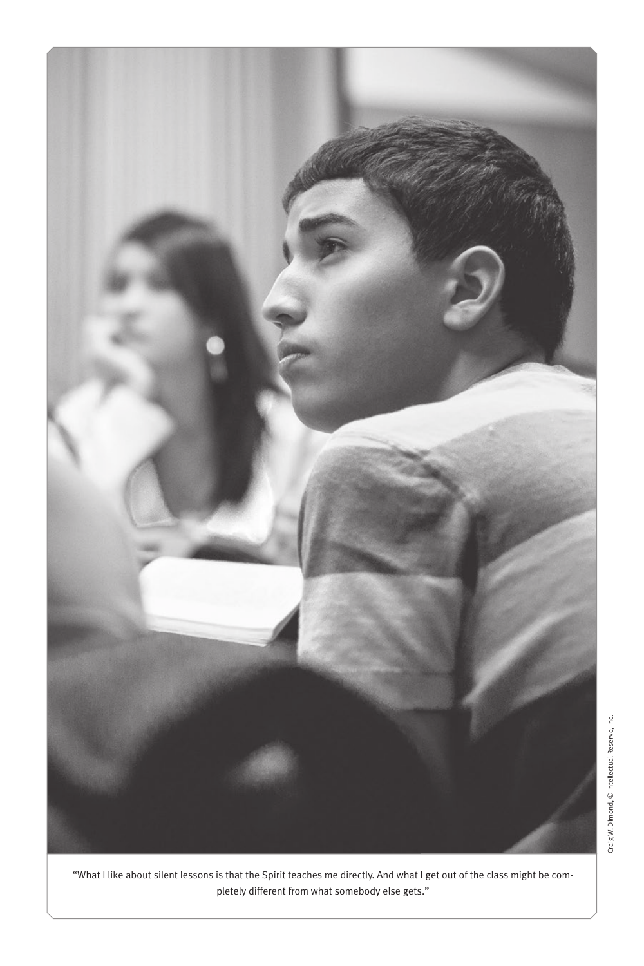

"What I like about silent lessons is that the Spirit teaches me directly. And what I get out of the class might be completely different from what somebody else gets."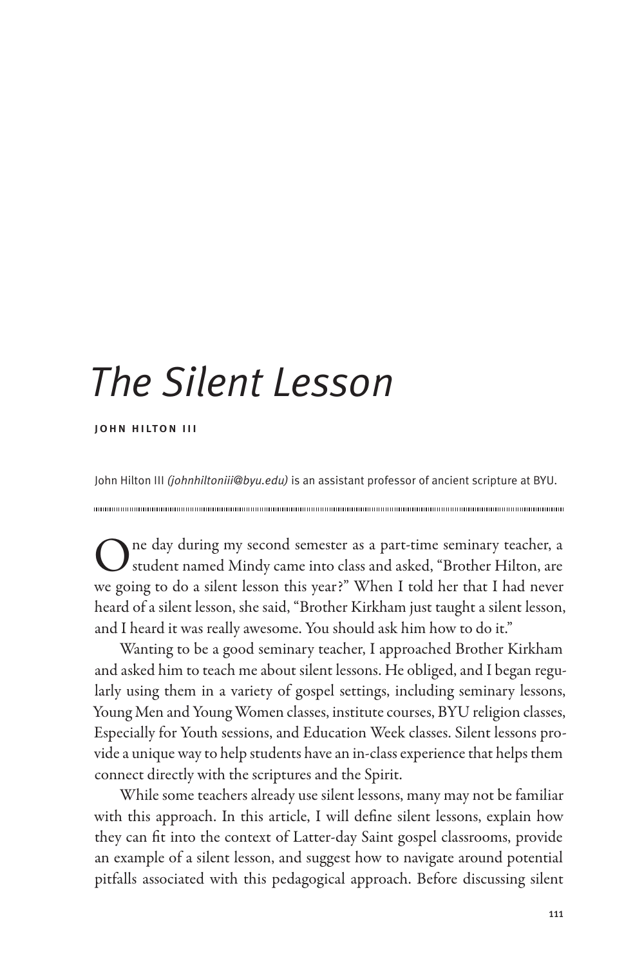# *The Silent Lesson*

john hilton iii

John Hilton III *(johnhiltoniii@byu.edu)* is an assistant professor of ancient scripture at BYU.

One day during my second semester as a part-time seminary teacher, a student named Mindy came into class and asked, "Brother Hilton, are we going to do a silent lesson this year?" When I told her that I had never heard of a silent lesson, she said, "Brother Kirkham just taught a silent lesson, and I heard it was really awesome. You should ask him how to do it."

Wanting to be a good seminary teacher, I approached Brother Kirkham and asked him to teach me about silent lessons. He obliged, and I began regularly using them in a variety of gospel settings, including seminary lessons, Young Men and Young Women classes, institute courses, BYU religion classes, Especially for Youth sessions, and Education Week classes. Silent lessons provide a unique way to help students have an in-class experience that helps them connect directly with the scriptures and the Spirit.

While some teachers already use silent lessons, many may not be familiar with this approach. In this article, I will define silent lessons, explain how they can fit into the context of Latter-day Saint gospel classrooms, provide an example of a silent lesson, and suggest how to navigate around potential pitfalls associated with this pedagogical approach. Before discussing silent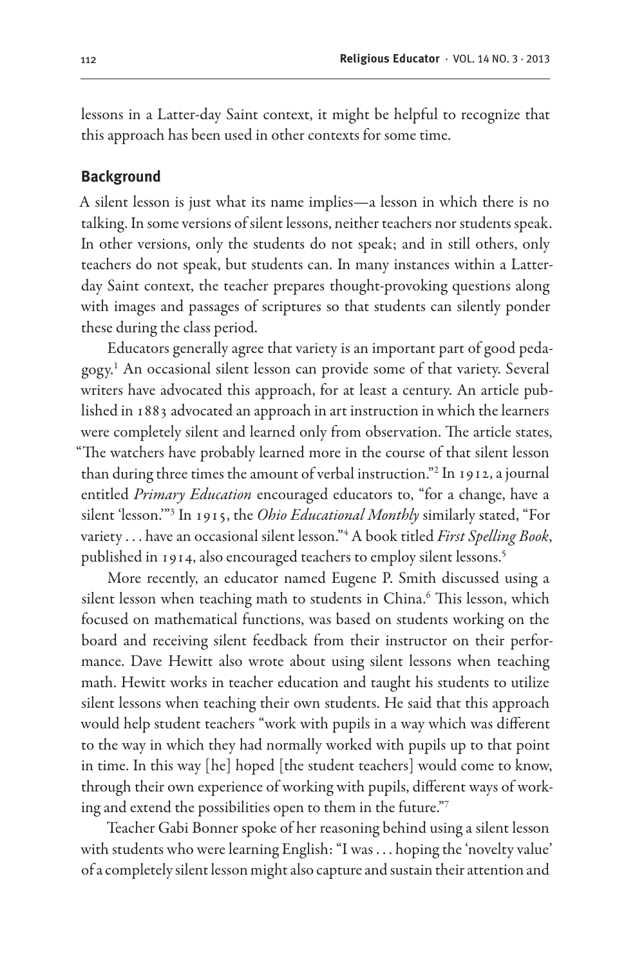lessons in a Latter-day Saint context, it might be helpful to recognize that this approach has been used in other contexts for some time.

#### **Background**

A silent lesson is just what its name implies—a lesson in which there is no talking. In some versions of silent lessons, neither teachers nor students speak. In other versions, only the students do not speak; and in still others, only teachers do not speak, but students can. In many instances within a Latterday Saint context, the teacher prepares thought-provoking questions along with images and passages of scriptures so that students can silently ponder these during the class period.

Educators generally agree that variety is an important part of good pedagogy.1 An occasional silent lesson can provide some of that variety. Several writers have advocated this approach, for at least a century. An article published in 1883 advocated an approach in art instruction in which the learners were completely silent and learned only from observation. The article states, "The watchers have probably learned more in the course of that silent lesson than during three times the amount of verbal instruction."2 In 1912, a journal entitled *Primary Education* encouraged educators to, "for a change, have a silent 'lesson.'"3 In 1915, the *Ohio Educational Monthly* similarly stated, "For variety . . . have an occasional silent lesson."4 A book titled *First Spelling Book*, published in 1914, also encouraged teachers to employ silent lessons.<sup>5</sup>

More recently, an educator named Eugene P. Smith discussed using a silent lesson when teaching math to students in China.<sup>6</sup> This lesson, which focused on mathematical functions, was based on students working on the board and receiving silent feedback from their instructor on their performance. Dave Hewitt also wrote about using silent lessons when teaching math. Hewitt works in teacher education and taught his students to utilize silent lessons when teaching their own students. He said that this approach would help student teachers "work with pupils in a way which was different to the way in which they had normally worked with pupils up to that point in time. In this way [he] hoped [the student teachers] would come to know, through their own experience of working with pupils, different ways of working and extend the possibilities open to them in the future."7

Teacher Gabi Bonner spoke of her reasoning behind using a silent lesson with students who were learning English: "I was . . . hoping the 'novelty value' of a completely silent lesson might also capture and sustain their attention and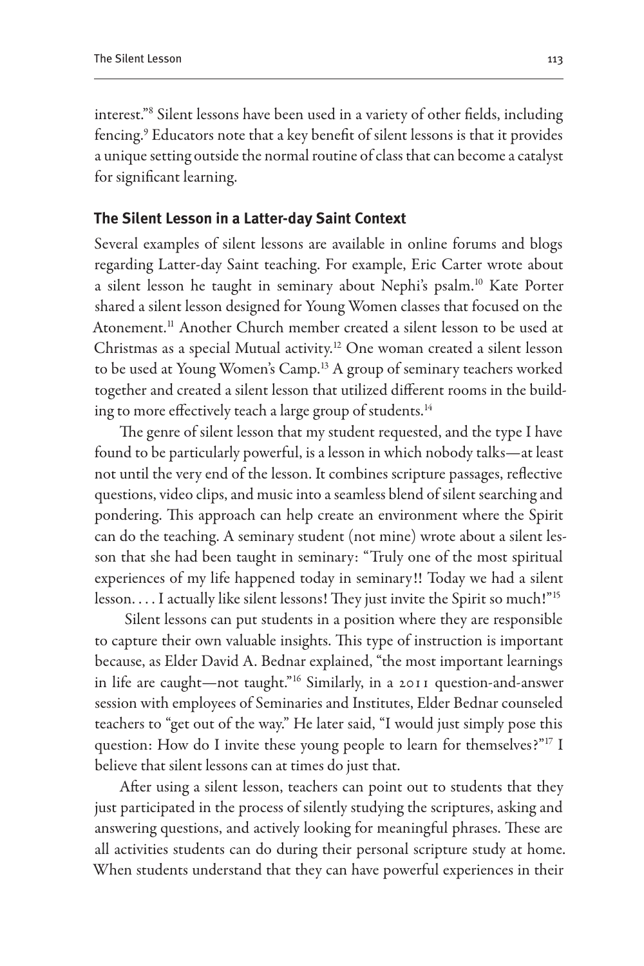interest."8 Silent lessons have been used in a variety of other fields, including fencing.<sup>9</sup> Educators note that a key benefit of silent lessons is that it provides a unique setting outside the normal routine of class that can become a catalyst for significant learning.

## **The Silent Lesson in a Latter-day Saint Context**

Several examples of silent lessons are available in online forums and blogs regarding Latter-day Saint teaching. For example, Eric Carter wrote about a silent lesson he taught in seminary about Nephi's psalm.<sup>10</sup> Kate Porter shared a silent lesson designed for Young Women classes that focused on the Atonement.11 Another Church member created a silent lesson to be used at Christmas as a special Mutual activity.<sup>12</sup> One woman created a silent lesson to be used at Young Women's Camp.<sup>13</sup> A group of seminary teachers worked together and created a silent lesson that utilized different rooms in the building to more effectively teach a large group of students.<sup>14</sup>

The genre of silent lesson that my student requested, and the type I have found to be particularly powerful, is a lesson in which nobody talks—at least not until the very end of the lesson. It combines scripture passages, reflective questions, video clips, and music into a seamless blend of silent searching and pondering. This approach can help create an environment where the Spirit can do the teaching. A seminary student (not mine) wrote about a silent lesson that she had been taught in seminary: "Truly one of the most spiritual experiences of my life happened today in seminary!! Today we had a silent lesson.... I actually like silent lessons! They just invite the Spirit so much!"<sup>15</sup>

 Silent lessons can put students in a position where they are responsible to capture their own valuable insights. This type of instruction is important because, as Elder David A. Bednar explained, "the most important learnings in life are caught—not taught."16 Similarly, in a 2011 question-and-answer session with employees of Seminaries and Institutes, Elder Bednar counseled teachers to "get out of the way." He later said, "I would just simply pose this question: How do I invite these young people to learn for themselves?"<sup>17</sup> I believe that silent lessons can at times do just that.

After using a silent lesson, teachers can point out to students that they just participated in the process of silently studying the scriptures, asking and answering questions, and actively looking for meaningful phrases. These are all activities students can do during their personal scripture study at home. When students understand that they can have powerful experiences in their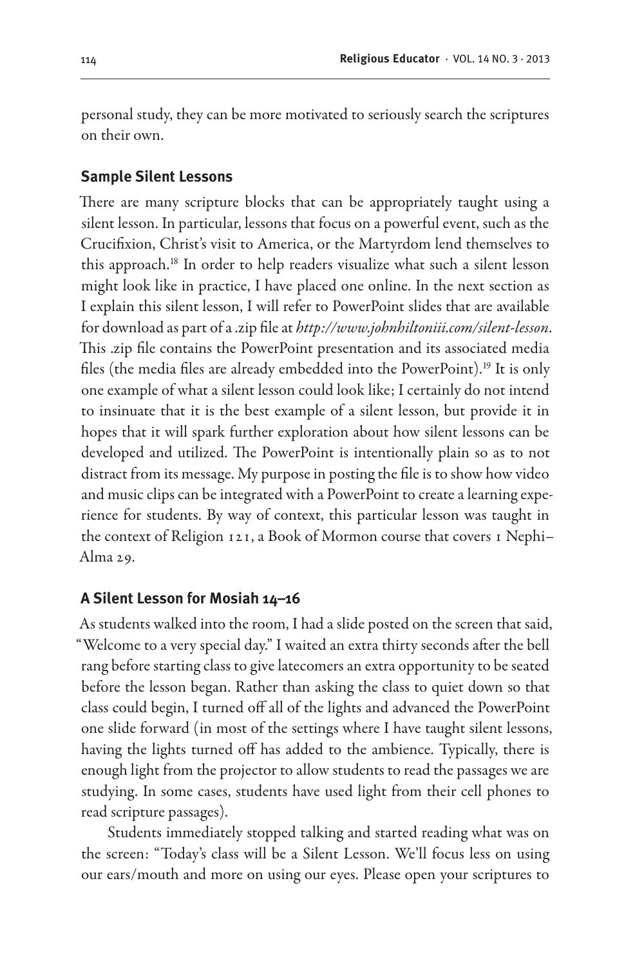personal study, they can be more motivated to seriously search the scriptures on their own.

#### **Sample Silent Lessons**

There are many scripture blocks that can be appropriately taught using a silent lesson. In particular, lessons that focus on a powerful event, such as the Crucifixion, Christ's visit to America, or the Martyrdom lend themselves to this approach.18 In order to help readers visualize what such a silent lesson might look like in practice, I have placed one online. In the next section as I explain this silent lesson, I will refer to PowerPoint slides that are available for download as part of a .zip file at *http://www.johnhiltoniii.com/silent-lesson*. This .zip file contains the PowerPoint presentation and its associated media files (the media files are already embedded into the PowerPoint).<sup>19</sup> It is only one example of what a silent lesson could look like; I certainly do not intend to insinuate that it is the best example of a silent lesson, but provide it in hopes that it will spark further exploration about how silent lessons can be developed and utilized. The PowerPoint is intentionally plain so as to not distract from its message. My purpose in posting the file is to show how video and music clips can be integrated with a PowerPoint to create a learning experience for students. By way of context, this particular lesson was taught in the context of Religion 121, a Book of Mormon course that covers 1 Nephi– Alma 29.

### **A Silent Lesson for Mosiah 14–16**

As students walked into the room, I had a slide posted on the screen that said, "Welcome to a very special day." I waited an extra thirty seconds after the bell rang before starting class to give latecomers an extra opportunity to be seated before the lesson began. Rather than asking the class to quiet down so that class could begin, I turned off all of the lights and advanced the PowerPoint one slide forward (in most of the settings where I have taught silent lessons, having the lights turned off has added to the ambience. Typically, there is enough light from the projector to allow students to read the passages we are studying. In some cases, students have used light from their cell phones to read scripture passages).

Students immediately stopped talking and started reading what was on the screen: "Today's class will be a Silent Lesson. We'll focus less on using our ears/mouth and more on using our eyes. Please open your scriptures to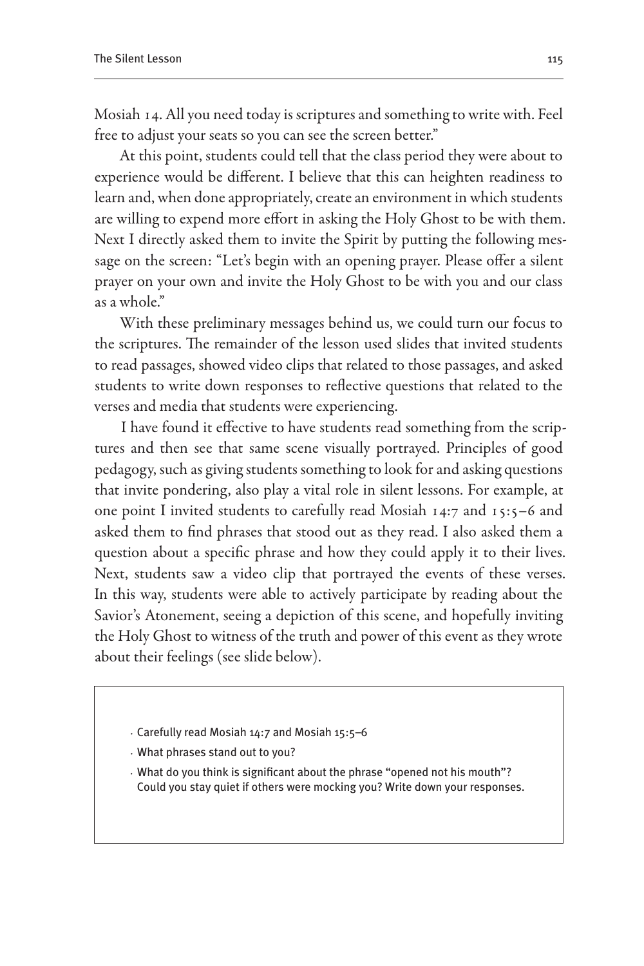Mosiah 14. All you need today is scriptures and something to write with. Feel free to adjust your seats so you can see the screen better."

At this point, students could tell that the class period they were about to experience would be different. I believe that this can heighten readiness to learn and, when done appropriately, create an environment in which students are willing to expend more effort in asking the Holy Ghost to be with them. Next I directly asked them to invite the Spirit by putting the following message on the screen: "Let's begin with an opening prayer. Please offer a silent prayer on your own and invite the Holy Ghost to be with you and our class as a whole."

With these preliminary messages behind us, we could turn our focus to the scriptures. The remainder of the lesson used slides that invited students to read passages, showed video clips that related to those passages, and asked students to write down responses to reflective questions that related to the verses and media that students were experiencing.

I have found it effective to have students read something from the scriptures and then see that same scene visually portrayed. Principles of good pedagogy, such as giving students something to look for and asking questions that invite pondering, also play a vital role in silent lessons. For example, at one point I invited students to carefully read Mosiah 14:7 and 15:5–6 and asked them to find phrases that stood out as they read. I also asked them a question about a specific phrase and how they could apply it to their lives. Next, students saw a video clip that portrayed the events of these verses. In this way, students were able to actively participate by reading about the Savior's Atonement, seeing a depiction of this scene, and hopefully inviting the Holy Ghost to witness of the truth and power of this event as they wrote about their feelings (see slide below).

- · Carefully read Mosiah 14:7 and Mosiah 15:5–6
- · What phrases stand out to you?
- · What do you think is significant about the phrase "opened not his mouth"? Could you stay quiet if others were mocking you? Write down your responses.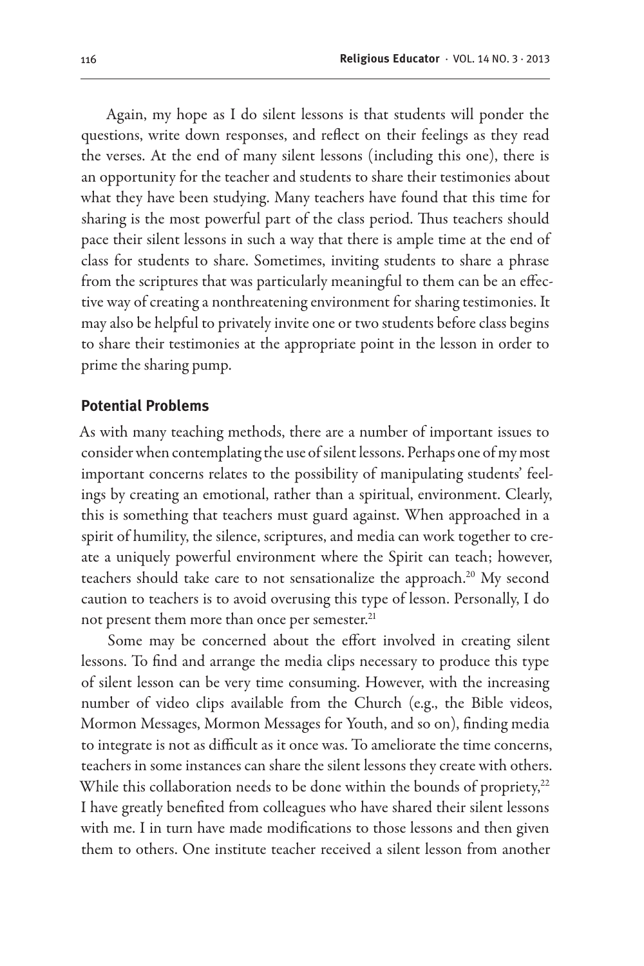Again, my hope as I do silent lessons is that students will ponder the questions, write down responses, and reflect on their feelings as they read the verses. At the end of many silent lessons (including this one), there is an opportunity for the teacher and students to share their testimonies about what they have been studying. Many teachers have found that this time for sharing is the most powerful part of the class period. Thus teachers should pace their silent lessons in such a way that there is ample time at the end of class for students to share. Sometimes, inviting students to share a phrase from the scriptures that was particularly meaningful to them can be an effective way of creating a nonthreatening environment for sharing testimonies. It may also be helpful to privately invite one or two students before class begins to share their testimonies at the appropriate point in the lesson in order to prime the sharing pump.

### **Potential Problems**

As with many teaching methods, there are a number of important issues to consider when contemplating the use of silent lessons. Perhaps one of my most important concerns relates to the possibility of manipulating students' feelings by creating an emotional, rather than a spiritual, environment. Clearly, this is something that teachers must guard against. When approached in a spirit of humility, the silence, scriptures, and media can work together to create a uniquely powerful environment where the Spirit can teach; however, teachers should take care to not sensationalize the approach.<sup>20</sup> My second caution to teachers is to avoid overusing this type of lesson. Personally, I do not present them more than once per semester.<sup>21</sup>

Some may be concerned about the effort involved in creating silent lessons. To find and arrange the media clips necessary to produce this type of silent lesson can be very time consuming. However, with the increasing number of video clips available from the Church (e.g., the Bible videos, Mormon Messages, Mormon Messages for Youth, and so on), finding media to integrate is not as difficult as it once was. To ameliorate the time concerns, teachers in some instances can share the silent lessons they create with others. While this collaboration needs to be done within the bounds of propriety,<sup>22</sup> I have greatly benefited from colleagues who have shared their silent lessons with me. I in turn have made modifications to those lessons and then given them to others. One institute teacher received a silent lesson from another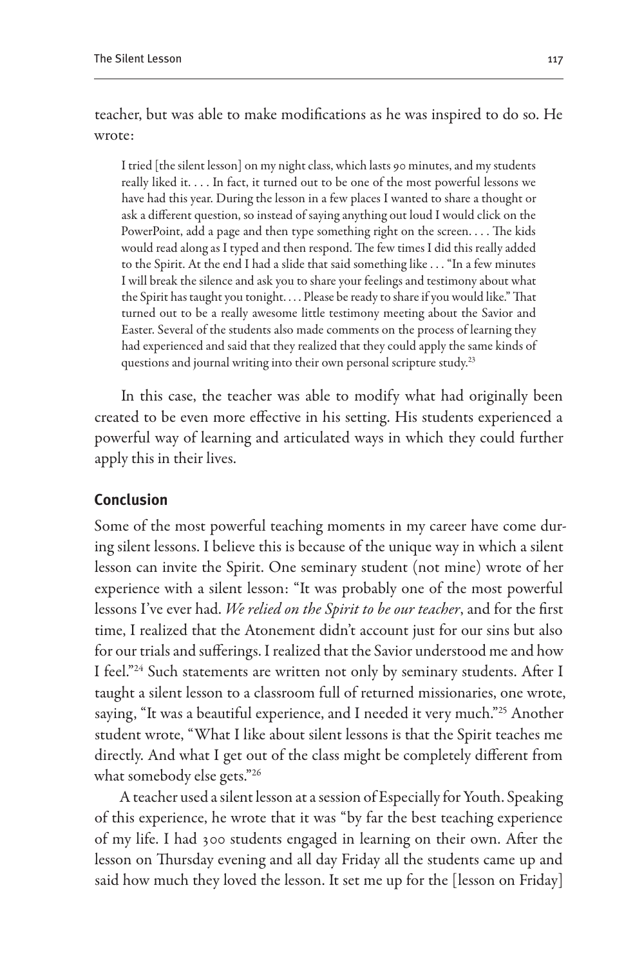teacher, but was able to make modifications as he was inspired to do so. He wrote:

I tried [the silent lesson] on my night class, which lasts 90 minutes, and my students really liked it. . . . In fact, it turned out to be one of the most powerful lessons we have had this year. During the lesson in a few places I wanted to share a thought or ask a different question, so instead of saying anything out loud I would click on the PowerPoint, add a page and then type something right on the screen. . . . The kids would read along as I typed and then respond. The few times I did this really added to the Spirit. At the end I had a slide that said something like . . . "In a few minutes I will break the silence and ask you to share your feelings and testimony about what the Spirit has taught you tonight. . . . Please be ready to share if you would like." That turned out to be a really awesome little testimony meeting about the Savior and Easter. Several of the students also made comments on the process of learning they had experienced and said that they realized that they could apply the same kinds of questions and journal writing into their own personal scripture study.23

In this case, the teacher was able to modify what had originally been created to be even more effective in his setting. His students experienced a powerful way of learning and articulated ways in which they could further apply this in their lives.

### **Conclusion**

Some of the most powerful teaching moments in my career have come during silent lessons. I believe this is because of the unique way in which a silent lesson can invite the Spirit. One seminary student (not mine) wrote of her experience with a silent lesson: "It was probably one of the most powerful lessons I've ever had. *We relied on the Spirit to be our teacher*, and for the first time, I realized that the Atonement didn't account just for our sins but also for our trials and sufferings. I realized that the Savior understood me and how I feel."<sup>24</sup> Such statements are written not only by seminary students. After I taught a silent lesson to a classroom full of returned missionaries, one wrote, saying, "It was a beautiful experience, and I needed it very much."<sup>25</sup> Another student wrote, "What I like about silent lessons is that the Spirit teaches me directly. And what I get out of the class might be completely different from what somebody else gets."26

A teacher used a silent lesson at a session of Especially for Youth. Speaking of this experience, he wrote that it was "by far the best teaching experience of my life. I had 300 students engaged in learning on their own. After the lesson on Thursday evening and all day Friday all the students came up and said how much they loved the lesson. It set me up for the [lesson on Friday]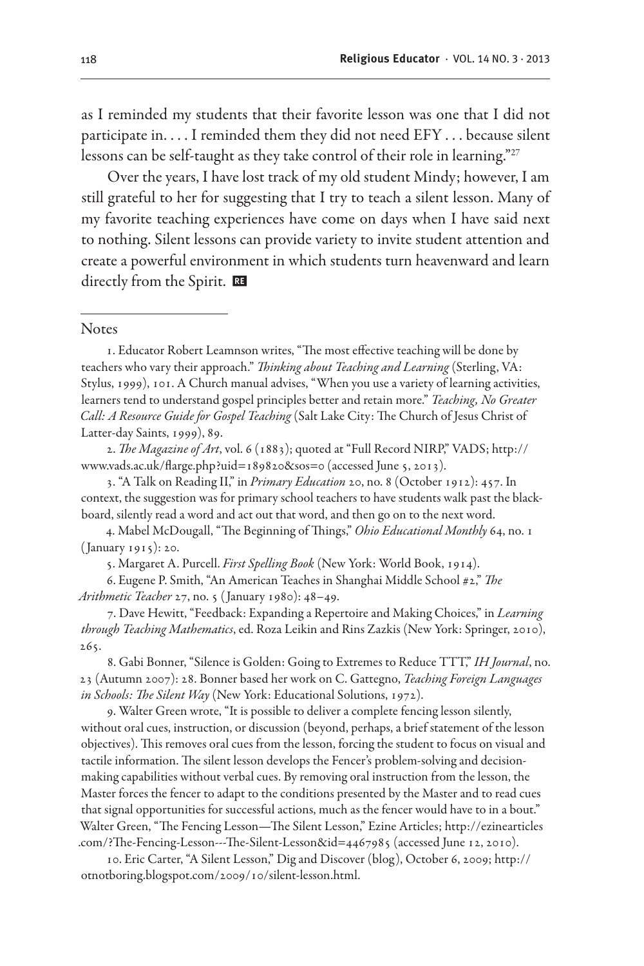as I reminded my students that their favorite lesson was one that I did not participate in. . . . I reminded them they did not need EFY . . . because silent lessons can be self-taught as they take control of their role in learning."27

Over the years, I have lost track of my old student Mindy; however, I am still grateful to her for suggesting that I try to teach a silent lesson. Many of my favorite teaching experiences have come on days when I have said next to nothing. Silent lessons can provide variety to invite student attention and create a powerful environment in which students turn heavenward and learn directly from the Spirit.

#### **Notes**

1. Educator Robert Leamnson writes, "The most effective teaching will be done by teachers who vary their approach." *Thinking about Teaching and Learning* (Sterling, VA: Stylus, 1999), 101. A Church manual advises, "When you use a variety of learning activities, learners tend to understand gospel principles better and retain more." *Teaching, No Greater Call: A Resource Guide for Gospel Teaching* (Salt Lake City: The Church of Jesus Christ of Latter-day Saints, 1999), 89.

2. *The Magazine of Art*, vol. 6 (1883); quoted at "Full Record NIRP," VADS; http:// www.vads.ac.uk/flarge.php?uid=189820&sos=0 (accessed June 5, 2013).

3. "A Talk on Reading II," in *Primary Education* 20, no. 8 (October 1912): 457. In context, the suggestion was for primary school teachers to have students walk past the blackboard, silently read a word and act out that word, and then go on to the next word.

4. Mabel McDougall, "The Beginning of Things," *Ohio Educational Monthly* 64, no. 1 ( January 1915): 20.

5. Margaret A. Purcell. *First Spelling Book* (New York: World Book, 1914).

6. Eugene P. Smith, "An American Teaches in Shanghai Middle School #2," *The Arithmetic Teacher* 27, no. 5 ( January 1980): 48–49.

7. Dave Hewitt, "Feedback: Expanding a Repertoire and Making Choices," in *Learning through Teaching Mathematics*, ed. Roza Leikin and Rins Zazkis (New York: Springer, 2010), 265.

8. Gabi Bonner, "Silence is Golden: Going to Extremes to Reduce TTT," *IH Journal*, no. 23 (Autumn 2007): 28. Bonner based her work on C. Gattegno, *Teaching Foreign Languages in Schools: The Silent Way* (New York: Educational Solutions, 1972).

9. Walter Green wrote, "It is possible to deliver a complete fencing lesson silently, without oral cues, instruction, or discussion (beyond, perhaps, a brief statement of the lesson objectives). This removes oral cues from the lesson, forcing the student to focus on visual and tactile information. The silent lesson develops the Fencer's problem-solving and decisionmaking capabilities without verbal cues. By removing oral instruction from the lesson, the Master forces the fencer to adapt to the conditions presented by the Master and to read cues that signal opportunities for successful actions, much as the fencer would have to in a bout." Walter Green, "The Fencing Lesson—The Silent Lesson," Ezine Articles; http://ezinearticles .com/?The-Fencing-Lesson---The-Silent-Lesson&id=4467985 (accessed June 12, 2010).

10. Eric Carter, "A Silent Lesson," Dig and Discover (blog), October 6, 2009; http:// otnotboring.blogspot.com/2009/10/silent-lesson.html.